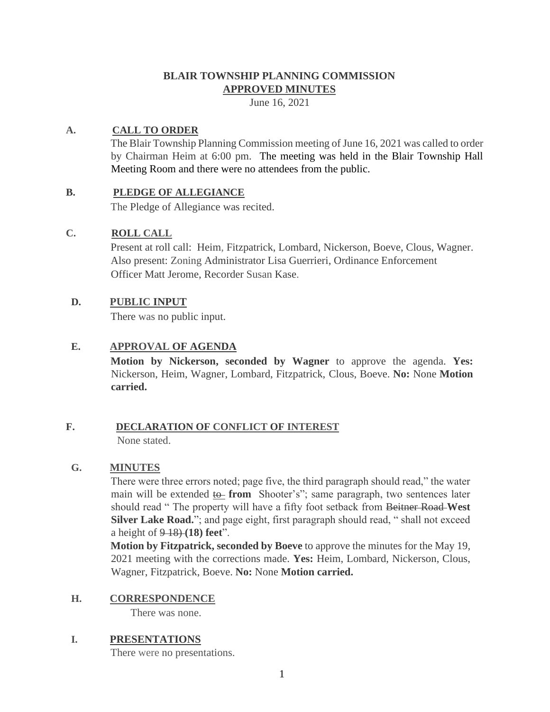# **BLAIR TOWNSHIP PLANNING COMMISSION APPROVED MINUTES**

June 16, 2021

## **A. CALL TO ORDER**

The Blair Township Planning Commission meeting of June 16, 2021 was called to order by Chairman Heim at 6:00 pm. The meeting was held in the Blair Township Hall Meeting Room and there were no attendees from the public.

## **B. PLEDGE OF ALLEGIANCE**

The Pledge of Allegiance was recited.

## **C. ROLL CALL**

Present at roll call: Heim, Fitzpatrick, Lombard, Nickerson, Boeve, Clous, Wagner. Also present: Zoning Administrator Lisa Guerrieri, Ordinance Enforcement Officer Matt Jerome, Recorder Susan Kase.

## **D. PUBLIC INPUT**

There was no public input.

## **E. APPROVAL OF AGENDA**

**Motion by Nickerson, seconded by Wagner** to approve the agenda. **Yes:**  Nickerson, Heim, Wagner, Lombard, Fitzpatrick, Clous, Boeve. **No:** None **Motion carried.**

### **F. DECLARATION OF CONFLICT OF INTEREST** None stated.

**G. MINUTES**

## There were three errors noted; page five, the third paragraph should read," the water main will be extended to from Shooter's"; same paragraph, two sentences later should read " The property will have a fifty foot setback from Beitner Road **West Silver Lake Road.**"; and page eight, first paragraph should read, " shall not exceed a height of 9 18) **(18) feet**".

**Motion by Fitzpatrick, seconded by Boeve** to approve the minutes for the May 19, 2021 meeting with the corrections made. **Yes:** Heim, Lombard, Nickerson, Clous, Wagner, Fitzpatrick, Boeve. **No:** None **Motion carried.**

### **H. CORRESPONDENCE**

There was none.

## **I. PRESENTATIONS**

There were no presentations.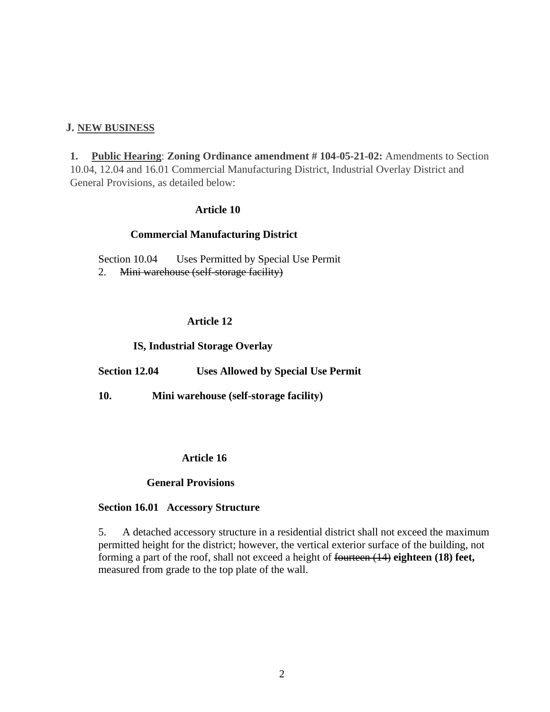### **J. NEW BUSINESS**

**1. Public Hearing**: **Zoning Ordinance amendment # 104-05-21-02:** Amendments to Section 10.04, 12.04 and 16.01 Commercial Manufacturing District, Industrial Overlay District and General Provisions, as detailed below:

### **Article 10**

### **Commercial Manufacturing District**

Section 10.04 Uses Permitted by Special Use Permit 2. Mini warehouse (self-storage facility)

#### **Article 12**

#### **IS, Industrial Storage Overlay**

**Section 12.04 Uses Allowed by Special Use Permit**

**10. Mini warehouse (self-storage facility)**

#### **Article 16**

#### **General Provisions**

#### **Section 16.01 Accessory Structure**

5. A detached accessory structure in a residential district shall not exceed the maximum permitted height for the district; however, the vertical exterior surface of the building, not forming a part of the roof, shall not exceed a height of fourteen (14) **eighteen (18) feet,**  measured from grade to the top plate of the wall.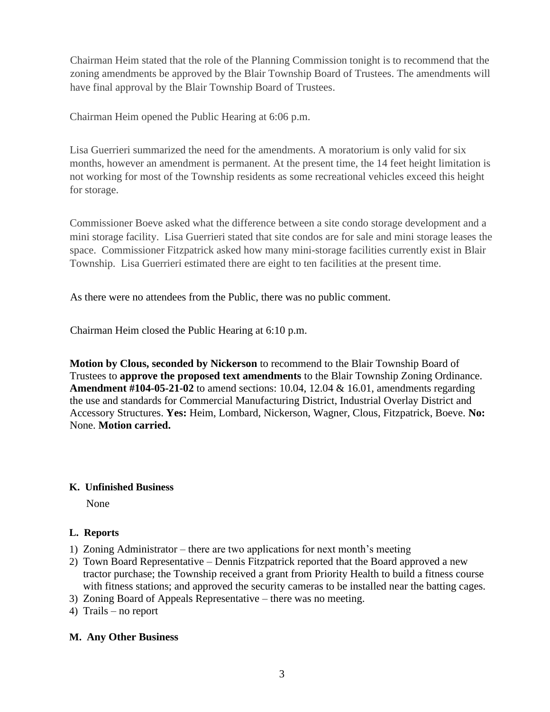Chairman Heim stated that the role of the Planning Commission tonight is to recommend that the zoning amendments be approved by the Blair Township Board of Trustees. The amendments will have final approval by the Blair Township Board of Trustees.

Chairman Heim opened the Public Hearing at 6:06 p.m.

Lisa Guerrieri summarized the need for the amendments. A moratorium is only valid for six months, however an amendment is permanent. At the present time, the 14 feet height limitation is not working for most of the Township residents as some recreational vehicles exceed this height for storage.

Commissioner Boeve asked what the difference between a site condo storage development and a mini storage facility. Lisa Guerrieri stated that site condos are for sale and mini storage leases the space. Commissioner Fitzpatrick asked how many mini-storage facilities currently exist in Blair Township. Lisa Guerrieri estimated there are eight to ten facilities at the present time.

As there were no attendees from the Public, there was no public comment.

Chairman Heim closed the Public Hearing at 6:10 p.m.

**Motion by Clous, seconded by Nickerson** to recommend to the Blair Township Board of Trustees to **approve the proposed text amendments** to the Blair Township Zoning Ordinance. **Amendment #104-05-21-02** to amend sections: 10.04, 12.04 & 16.01, amendments regarding the use and standards for Commercial Manufacturing District, Industrial Overlay District and Accessory Structures. **Yes:** Heim, Lombard, Nickerson, Wagner, Clous, Fitzpatrick, Boeve. **No:**  None. **Motion carried.** 

# **K. Unfinished Business**

None

# **L. Reports**

- 1) Zoning Administrator there are two applications for next month's meeting
- 2) Town Board Representative Dennis Fitzpatrick reported that the Board approved a new tractor purchase; the Township received a grant from Priority Health to build a fitness course with fitness stations; and approved the security cameras to be installed near the batting cages.
- 3) Zoning Board of Appeals Representative there was no meeting.
- 4) Trails no report

# **M. Any Other Business**